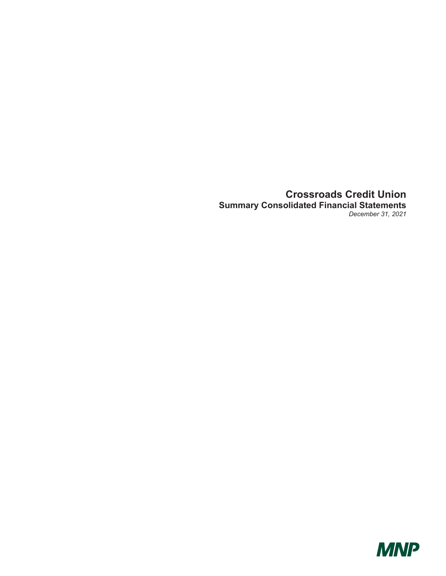### **Crossroads Credit Union Summary Consolidated Financial Statements**  *December 31, 2021*

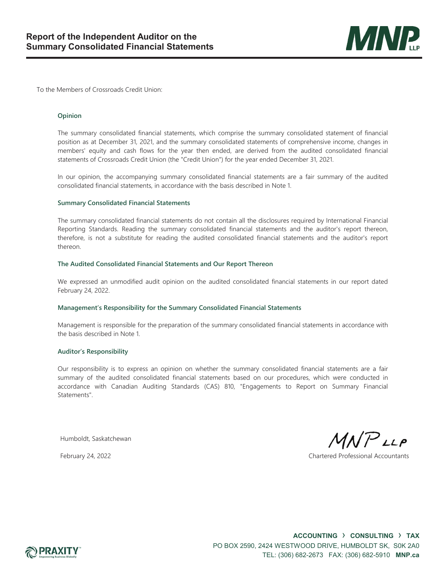

To the Members of Crossroads Credit Union:

#### **Opinion**

The summary consolidated financial statements, which comprise the summary consolidated statement of financial position as at December 31, 2021, and the summary consolidated statements of comprehensive income, changes in members' equity and cash flows for the year then ended, are derived from the audited consolidated financial statements of Crossroads Credit Union (the "Credit Union") for the year ended December 31, 2021.

In our opinion, the accompanying summary consolidated financial statements are a fair summary of the audited consolidated financial statements, in accordance with the basis described in Note 1.

#### **Summary Consolidated Financial Statements**

The summary consolidated financial statements do not contain all the disclosures required by International Financial Reporting Standards. Reading the summary consolidated financial statements and the auditor's report thereon, therefore, is not a substitute for reading the audited consolidated financial statements and the auditor's report thereon.

#### **The Audited Consolidated Financial Statements and Our Report Thereon**

We expressed an unmodified audit opinion on the audited consolidated financial statements in our report dated February 24, 2022.

### **Management's Responsibility for the Summary Consolidated Financial Statements**

Management is responsible for the preparation of the summary consolidated financial statements in accordance with the basis described in Note 1.

#### **Auditor's Responsibility**

Our responsibility is to express an opinion on whether the summary consolidated financial statements are a fair summary of the audited consolidated financial statements based on our procedures, which were conducted in accordance with Canadian Auditing Standards (CAS) 810, "Engagements to Report on Summary Financial Statements".

Humboldt, Saskatchewan

 $MNP$ LLP

February 24, 2022 Chartered Professional Accountants

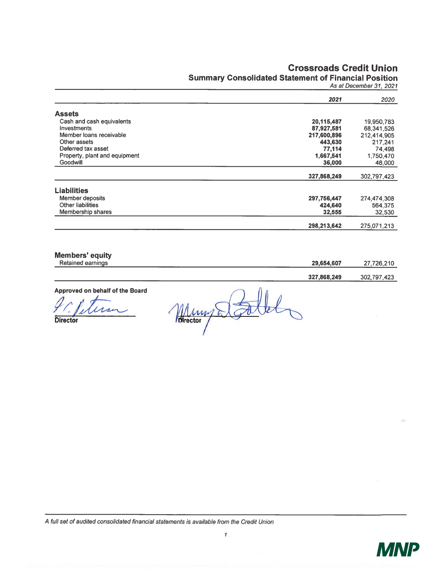### **Crossroads Credit Union**

## **Summary Consolidated Statement of Financial Position**

As at December 31, 2021

|                               | 2021        | 2020        |
|-------------------------------|-------------|-------------|
| <b>Assets</b>                 |             |             |
|                               |             |             |
| Cash and cash equivalents     | 20,115,487  | 19,950,783  |
| Investments                   | 87,927,581  | 68,341,526  |
| Member Ioans receivable       | 217,600,896 | 212,414,905 |
| Other assets                  | 443,630     | 217.241     |
| Deferred tax asset            | 77,114      | 74,498      |
| Property, plant and equipment | 1.667,541   | 1,750,470   |
| Goodwill                      | 36,000      | 48,000      |
|                               |             |             |
|                               | 327,868,249 | 302,797,423 |
| <b>Liabilities</b>            |             |             |
| Member deposits               | 297,756,447 | 274,474,308 |
| Other liabilities             | 424,640     | 564.375     |
| Membership shares             | 32,555      | 32,530      |
|                               |             |             |
|                               | 298,213,642 | 275,071,213 |

**Members' equity** 

| Retained<br>earnings | ____ | 29,654,607  | 726            |
|----------------------|------|-------------|----------------|
|                      |      |             |                |
|                      |      | 327.868.249 | -302.<br>$-72$ |

Approved on behalf of the Board

 $\overline{\mathcal{U}}$ 

Director

Mung Stalled ľ

A full set of audited consolidated financial statements is available from the Credit Union

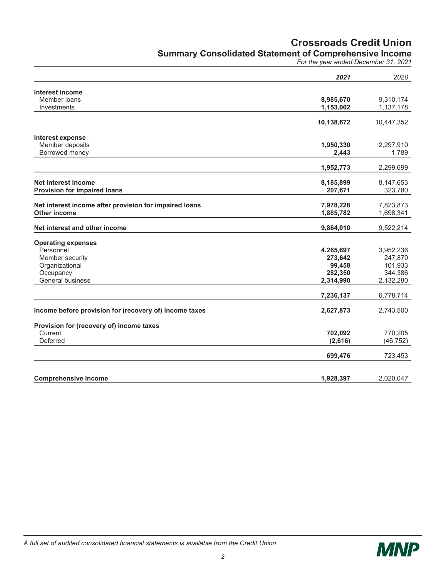## **Crossroads Credit Union**

### **Summary Consolidated Statement of Comprehensive Income**

*For the year ended December 31, 2021* 

|                                                        | 2021                   | 2020       |
|--------------------------------------------------------|------------------------|------------|
| Interest income                                        |                        |            |
| Member loans                                           | 8,985,670              | 9,310,174  |
| Investments                                            | 1,153,002              | 1,137,178  |
|                                                        | 10,138,672             | 10,447,352 |
| Interest expense                                       |                        |            |
| Member deposits                                        | 1,950,330              | 2,297,910  |
| Borrowed money                                         | 2,443                  | 1,789      |
|                                                        | 1,952,773              | 2,299,699  |
|                                                        |                        |            |
| Net interest income                                    | 8,185,899              | 8,147,653  |
| Provision for impaired loans                           | 207,671                | 323,780    |
| Net interest income after provision for impaired loans |                        | 7,823,873  |
| <b>Other income</b>                                    | 7,978,228<br>1,885,782 | 1,698,341  |
|                                                        |                        |            |
| Net interest and other income                          | 9,864,010              | 9,522,214  |
| <b>Operating expenses</b>                              |                        |            |
| Personnel                                              | 4,265,697              | 3,952,236  |
| Member security                                        | 273,642                | 247,879    |
| Organizational                                         | 99,458                 | 101,933    |
| Occupancy                                              | 282,350                | 344,386    |
| General business                                       | 2,314,990              | 2,132,280  |
|                                                        | 7,236,137              | 6,778,714  |
| Income before provision for (recovery of) income taxes | 2,627,873              | 2,743,500  |
|                                                        |                        |            |
| Provision for (recovery of) income taxes               |                        |            |
| Current                                                | 702,092                | 770,205    |
| Deferred                                               | (2,616)                | (46, 752)  |
|                                                        | 699,476                | 723,453    |
|                                                        |                        |            |
| <b>Comprehensive income</b>                            | 1,928,397              | 2,020,047  |

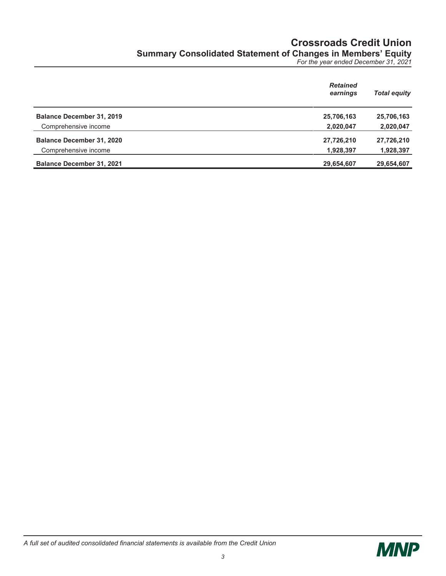# **Crossroads Credit Union Summary Consolidated Statement of Changes in Members' Equity**

*For the year ended December 31, 2021* 

|                                  | <b>Retained</b><br>earnings | <b>Total equity</b> |
|----------------------------------|-----------------------------|---------------------|
| <b>Balance December 31, 2019</b> | 25,706,163                  | 25,706,163          |
| Comprehensive income             | 2,020,047                   | 2,020,047           |
| <b>Balance December 31, 2020</b> | 27,726,210                  | 27,726,210          |
| Comprehensive income             | 1,928,397                   | 1,928,397           |
| <b>Balance December 31, 2021</b> | 29,654,607                  | 29,654,607          |

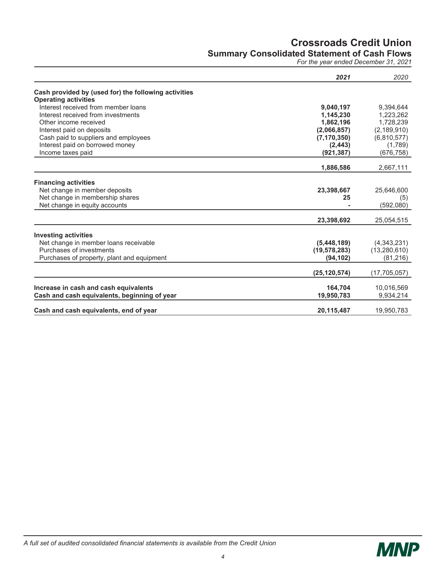### **Crossroads Credit Union Summary Consolidated Statement of Cash Flows**

*For the year ended December 31, 2021* 

|                                                      | 2021           | 2020           |
|------------------------------------------------------|----------------|----------------|
| Cash provided by (used for) the following activities |                |                |
| <b>Operating activities</b>                          |                |                |
| Interest received from member loans                  | 9,040,197      | 9,394,644      |
| Interest received from investments                   | 1,145,230      | 1,223,262      |
| Other income received                                | 1,862,196      | 1,728,239      |
| Interest paid on deposits                            | (2,066,857)    | (2, 189, 910)  |
| Cash paid to suppliers and employees                 | (7, 170, 350)  | (6,810,577)    |
| Interest paid on borrowed money                      | (2, 443)       | (1,789)        |
| Income taxes paid                                    | (921, 387)     | (676, 758)     |
|                                                      | 1,886,586      | 2,667,111      |
|                                                      |                |                |
| <b>Financing activities</b>                          |                |                |
| Net change in member deposits                        | 23,398,667     | 25,646,600     |
| Net change in membership shares                      | 25             | (5)            |
| Net change in equity accounts                        |                | (592,080)      |
|                                                      | 23,398,692     | 25,054,515     |
| <b>Investing activities</b>                          |                |                |
| Net change in member loans receivable                | (5,448,189)    | (4,343,231)    |
| Purchases of investments                             | (19, 578, 283) | (13,280,610)   |
| Purchases of property, plant and equipment           | (94, 102)      | (81, 216)      |
|                                                      | (25, 120, 574) | (17, 705, 057) |
|                                                      |                |                |
| Increase in cash and cash equivalents                | 164,704        | 10,016,569     |
| Cash and cash equivalents, beginning of year         | 19,950,783     | 9,934,214      |
| Cash and cash equivalents, end of year               | 20,115,487     | 19,950,783     |